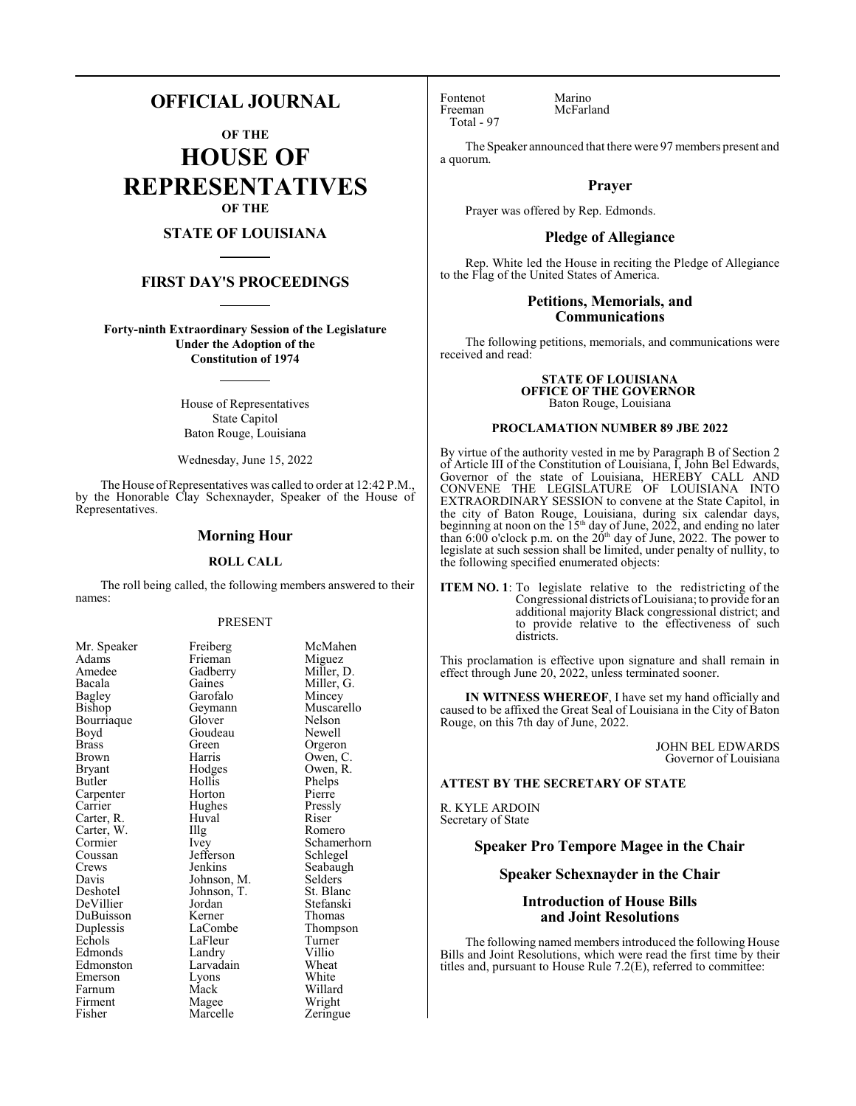## **OFFICIAL JOURNAL**

**OF THE HOUSE OF REPRESENTATIVES OF THE**

## **STATE OF LOUISIANA**

## **FIRST DAY'S PROCEEDINGS**

**Forty-ninth Extraordinary Session of the Legislature Under the Adoption of the Constitution of 1974**

> House of Representatives State Capitol Baton Rouge, Louisiana

Wednesday, June 15, 2022

The House of Representatives was called to order at 12:42 P.M., by the Honorable Clay Schexnayder, Speaker of the House of Representatives.

#### **Morning Hour**

#### **ROLL CALL**

The roll being called, the following members answered to their names:

#### PRESENT

Gadberry<br>Gaines

Garofalo<br>Geymann

Goudeau<br>Green

Huval<br>Illg

Lyons<br>Mack

Marcelle

Jefferson<br>Jenkins

| Mr. Speaker          |
|----------------------|
| Adams                |
| Amedee               |
| Bacala               |
| <b>Bagley</b>        |
|                      |
| Bishop<br>Bourriaque |
| Boyd                 |
| <b>Brass</b>         |
| Brown                |
| Bryant               |
| Butler               |
| Carpenter            |
| Carrier              |
| Carter, R.           |
| Carter, W.           |
| Cormier              |
| Coussan              |
| Crews                |
| Davis                |
| Deshotel             |
| DeVillier            |
| DuBuisson            |
| Duplessis            |
| Echols               |
| Edmonds              |
| Edmonston            |
| Emerson              |
| Farnum               |
| Firment              |
| Fisher               |

Mr. Speaker Freiberg McMahen<br>Adams Frieman Miguez Frieman Miguez<br>Gadberry Miller, D. Miller, G.<br>Mincey Muscarello<br>Nelson Glover Nelson<br>Goudeau Newell Green Orgeron<br>Harris Owen C Harris Owen, C.<br>Hodges Owen, R. Owen, R.<br>Phelps Hollis Phelps<br>
Horton Pierre Horton Pierre<br>
Hughes Pressly Hughes Pressl<br>Huval Riser The Romero<br>
Ivey Schamer Schamerhorn<br>Schlegel Seabaugh Johnson, M. Selders<br>Johnson, T. St. Blanc Johnson, T.<br>Jordan Stefanski Kerner Thomas<br>LaCombe Thomps Thompson<br>Turner LaFleur Turner<br>
Landry Villio Landry Villio<br>
Larvadain Wheat Larvadain Wheat<br>Lyons White Willard<br>Wright Magee Wright<br>
Marcelle Zeringue

Fontenot Marino<br>Freeman McFarl Total - 97

McFarland

The Speaker announced that there were 97 members present and a quorum.

## **Prayer**

Prayer was offered by Rep. Edmonds.

## **Pledge of Allegiance**

Rep. White led the House in reciting the Pledge of Allegiance to the Flag of the United States of America.

## **Petitions, Memorials, and Communications**

The following petitions, memorials, and communications were received and read:

> **STATE OF LOUISIANA OFFICE OF THE GOVERNOR**  Baton Rouge, Louisiana

#### **PROCLAMATION NUMBER 89 JBE 2022**

By virtue of the authority vested in me by Paragraph B of Section 2 of Article III of the Constitution of Louisiana, I, John Bel Edwards, Governor of the state of Louisiana, HEREBY CALL AND CONVENE THE LEGISLATURE OF LOUISIANA INTO EXTRAORDINARY SESSION to convene at the State Capitol, in the city of Baton Rouge, Louisiana, during six calendar days, beginning at noon on the 15<sup>th</sup> day of June, 2022, and ending no later than  $6:00$  o'clock p.m. on the  $20<sup>th</sup>$  day of June, 2022. The power to legislate at such session shall be limited, under penalty of nullity, to the following specified enumerated objects:

**ITEM NO. 1**: To legislate relative to the redistricting of the Congressional districts ofLouisiana; to provide for an additional majority Black congressional district; and to provide relative to the effectiveness of such districts.

This proclamation is effective upon signature and shall remain in effect through June 20, 2022, unless terminated sooner.

**IN WITNESS WHEREOF**, I have set my hand officially and caused to be affixed the Great Seal of Louisiana in the City of Baton Rouge, on this 7th day of June, 2022.

> JOHN BEL EDWARDS Governor of Louisiana

#### **ATTEST BY THE SECRETARY OF STATE**

R. KYLE ARDOIN Secretary of State

## **Speaker Pro Tempore Magee in the Chair**

## **Speaker Schexnayder in the Chair**

## **Introduction of House Bills and Joint Resolutions**

The following named members introduced the following House Bills and Joint Resolutions, which were read the first time by their titles and, pursuant to House Rule 7.2(E), referred to committee: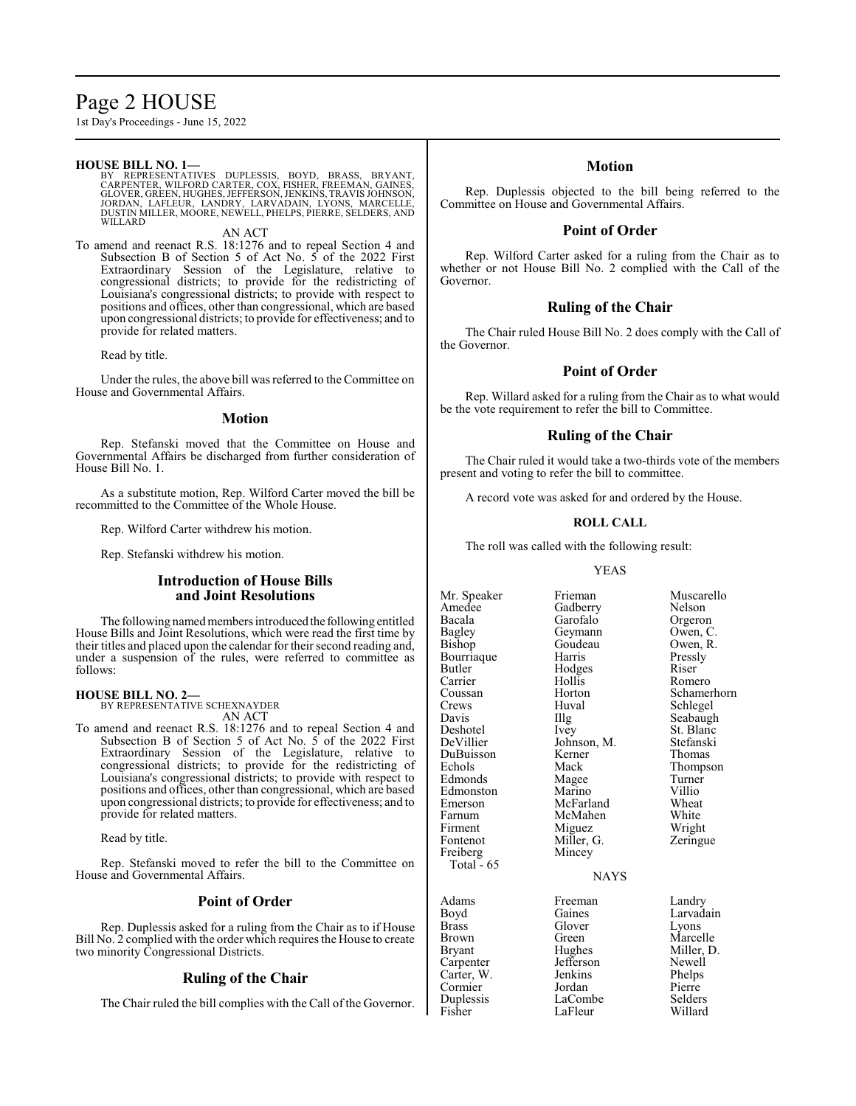# Page 2 HOUSE

1st Day's Proceedings - June 15, 2022

#### **HOUSE BILL NO. 1—**

BY REPRESENTATIVES DUPLESSIS, BOYD, BRASS, BRYANT,<br>CARPENTER,WILFORD CARTER,COX,FISHER,FREEMAN,GAINES,<br>GLOVER,GREEN,HUGHES,JEFFERSON,JENKINS,TRAVISJOHNSON,<br>JORDAN, LAFLEUR, LANDRY, LARVADAIN, LYONS, MARCELLE, DUSTIN MILLER, MOORE, NEWELL, PHELPS, PIERRE, SELDERS, AND WILLARD

AN ACT

To amend and reenact R.S. 18:1276 and to repeal Section 4 and Subsection B of Section 5 of Act No. 5 of the 2022 First Extraordinary Session of the Legislature, relative to congressional districts; to provide for the redistricting of Louisiana's congressional districts; to provide with respect to positions and offices, other than congressional, which are based upon congressional districts; to provide for effectiveness; and to provide for related matters.

Read by title.

Under the rules, the above bill was referred to the Committee on House and Governmental Affairs.

#### **Motion**

Rep. Stefanski moved that the Committee on House and Governmental Affairs be discharged from further consideration of House Bill No. 1.

As a substitute motion, Rep. Wilford Carter moved the bill be recommitted to the Committee of the Whole House.

Rep. Wilford Carter withdrew his motion.

Rep. Stefanski withdrew his motion.

## **Introduction of House Bills and Joint Resolutions**

The following named members introduced the following entitled House Bills and Joint Resolutions, which were read the first time by their titles and placed upon the calendar for their second reading and, under a suspension of the rules, were referred to committee as follows:

#### **HOUSE BILL NO. 2—**

BY REPRESENTATIVE SCHEXNAYDER AN ACT

To amend and reenact R.S. 18:1276 and to repeal Section 4 and Subsection B of Section 5 of Act No. 5 of the 2022 First Extraordinary Session of the Legislature, relative to congressional districts; to provide for the redistricting of Louisiana's congressional districts; to provide with respect to positions and offices, other than congressional, which are based upon congressional districts; to provide for effectiveness; and to provide for related matters.

Read by title.

Rep. Stefanski moved to refer the bill to the Committee on House and Governmental Affairs.

### **Point of Order**

Rep. Duplessis asked for a ruling from the Chair as to if House Bill No. 2 complied with the order which requires the House to create two minority Congressional Districts.

## **Ruling of the Chair**

The Chair ruled the bill complies with the Call of the Governor.

#### **Motion**

Rep. Duplessis objected to the bill being referred to the Committee on House and Governmental Affairs.

## **Point of Order**

Rep. Wilford Carter asked for a ruling from the Chair as to whether or not House Bill No. 2 complied with the Call of the Governor.

## **Ruling of the Chair**

The Chair ruled House Bill No. 2 does comply with the Call of the Governor.

## **Point of Order**

Rep. Willard asked for a ruling from the Chair as to what would be the vote requirement to refer the bill to Committee.

## **Ruling of the Chair**

The Chair ruled it would take a two-thirds vote of the members present and voting to refer the bill to committee.

A record vote was asked for and ordered by the House.

#### **ROLL CALL**

The roll was called with the following result:

#### YEAS

Amedee Gadberry<br>Bacala Garofalo Bagley Geymann Owen, C.<br>Bishop Goudeau Owen, R. Bourriaque Butler Hodges Riser<br>
Carrier Hollis Rome Carrier Hollis Romero<br>Coussan Horton Schamer Crews Huval Schlegel<br>Davis Hugh Seabaugh Davis Illg Seabaugh<br>
Deshotel Ivey St. Blanc Deshotel Ivey St. Blanc<br>DeVillier Johnson, M. Stefanski DuBuisson Kerner<br>Echols Mack Edmonds Magee Turner<br>
Edmonston Marino Villio Edmonston Marino Villio<br>Emerson McFarland Wheat Emerson McFarland Wheat<br>
Farnum McMahen White Farnum McMahen<br>Firment Miguez Firment Miguez Wright<br>Fontenot Miller, G. Zeringue Freiberg Mincey Total  $-65$ 

Goudeau Owen, I<br>Harris Pressly Johnson, M. Stefansk<br>Kerner Thomas Miller, G.

Mr. Speaker Frieman Muscarello<br>Amedee Gadberry Nelson Orgeron Schamerhorn Thompson

#### **NAYS**

Adams Freeman Landry<br>Boyd Gaines Larvada Boyd Gaines Larvadain<br>Brass Glover Lyons Glover Brown Green Marcelle<br>Bryant Hughes Miller, D Carpenter Jefferson Newell<br>Carter, W. Jenkins Phelps Carter, W. Jenkins Phelps Cormier Jordan Pierre<br>
Duplessis LaCombe Selders Duplessis LaCombe<br>Fisher LaFleur

Hughes Miller, D.<br>Jefferson Newell Willard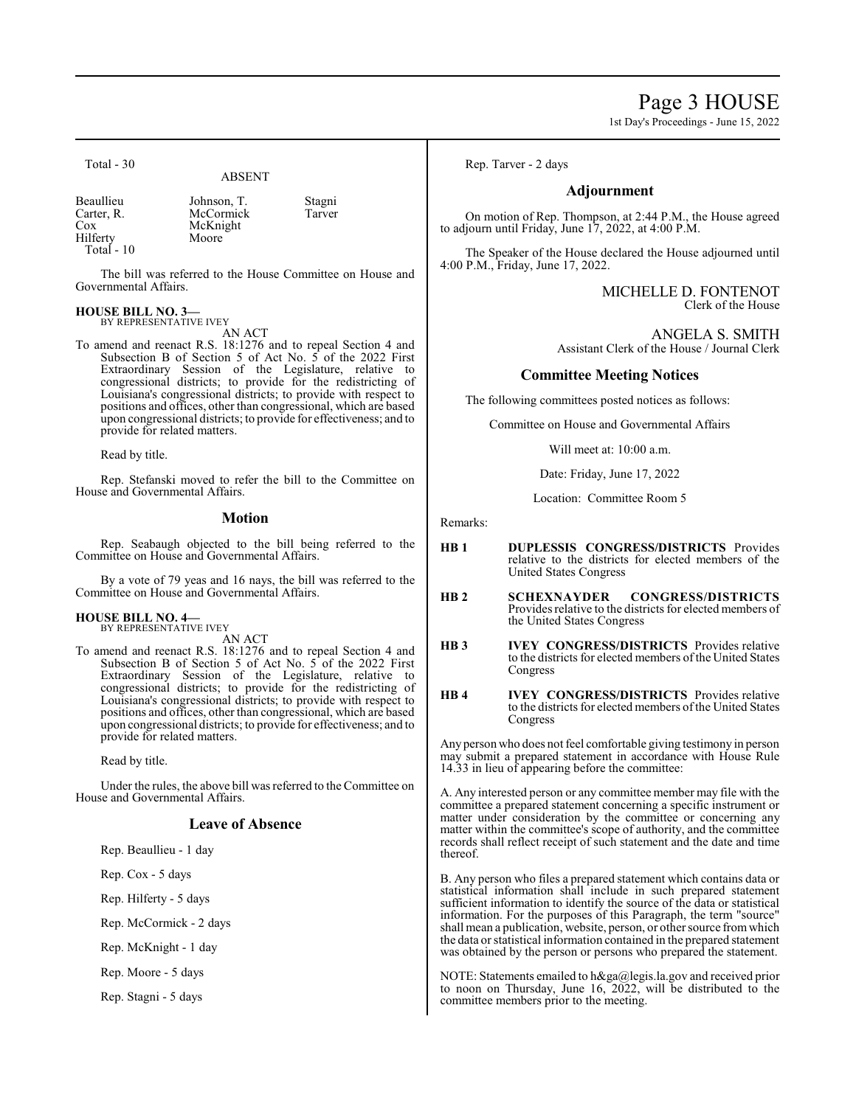# Page 3 HOUSE

1st Day's Proceedings - June 15, 2022

Total - 30

## ABSENT

Beaullieu Johnson, T. Stagni<br>Carter, R. McCormick Tarver Carter, R. McCormick<br>Cox McKnight Hilferty Total - 10

McKnight<br>Moore

The bill was referred to the House Committee on House and Governmental Affairs.

#### **HOUSE BILL NO. 3—**

BY REPRESENTATIVE IVEY

AN ACT To amend and reenact R.S. 18:1276 and to repeal Section 4 and Subsection B of Section 5 of Act No. 5 of the 2022 First Extraordinary Session of the Legislature, relative to congressional districts; to provide for the redistricting of Louisiana's congressional districts; to provide with respect to positions and offices, other than congressional, which are based upon congressional districts; to provide for effectiveness; and to provide for related matters.

Read by title.

Rep. Stefanski moved to refer the bill to the Committee on House and Governmental Affairs.

### **Motion**

Rep. Seabaugh objected to the bill being referred to the Committee on House and Governmental Affairs.

By a vote of 79 yeas and 16 nays, the bill was referred to the Committee on House and Governmental Affairs.

#### **HOUSE BILL NO. 4—** BY REPRESENTATIVE IVEY

AN ACT

To amend and reenact R.S. 18:1276 and to repeal Section 4 and Subsection B of Section 5 of Act No. 5 of the 2022 First Extraordinary Session of the Legislature, relative to congressional districts; to provide for the redistricting of Louisiana's congressional districts; to provide with respect to positions and offices, other than congressional, which are based upon congressional districts; to provide for effectiveness; and to provide for related matters.

Read by title.

Under the rules, the above bill was referred to the Committee on House and Governmental Affairs.

## **Leave of Absence**

Rep. Beaullieu - 1 day

Rep. Cox - 5 days

Rep. Hilferty - 5 days

Rep. McCormick - 2 days

Rep. McKnight - 1 day

Rep. Moore - 5 days

Rep. Stagni - 5 days

Rep. Tarver - 2 days

## **Adjournment**

On motion of Rep. Thompson, at 2:44 P.M., the House agreed to adjourn until Friday, June  $17, 2022$ , at  $4:00$  P.M.

The Speaker of the House declared the House adjourned until 4:00 P.M., Friday, June 17, 2022.

> MICHELLE D. FONTENOT Clerk of the House

ANGELA S. SMITH Assistant Clerk of the House / Journal Clerk

### **Committee Meeting Notices**

The following committees posted notices as follows:

Committee on House and Governmental Affairs

Will meet at: 10:00 a.m.

Date: Friday, June 17, 2022

Location: Committee Room 5

Remarks:

- **HB 1 DUPLESSIS CONGRESS/DISTRICTS** Provides relative to the districts for elected members of the United States Congress
- **HB 2 SCHEXNAYDER CONGRESS/DISTRICTS**  Provides relative to the districts for elected members of the United States Congress
- **HB 3 IVEY CONGRESS/DISTRICTS** Provides relative to the districts for elected members of the United States Congress
- **HB 4 IVEY CONGRESS/DISTRICTS** Provides relative to the districts for elected members of the United States Congress

Any person who does not feel comfortable giving testimony in person may submit a prepared statement in accordance with House Rule 14.33 in lieu of appearing before the committee:

A. Any interested person or any committee member may file with the committee a prepared statement concerning a specific instrument or matter under consideration by the committee or concerning any matter within the committee's scope of authority, and the committee records shall reflect receipt of such statement and the date and time thereof.

B. Any person who files a prepared statement which contains data or statistical information shall include in such prepared statement sufficient information to identify the source of the data or statistical information. For the purposes of this Paragraph, the term "source" shall mean a publication, website, person, or other source fromwhich the data or statistical information contained in the prepared statement was obtained by the person or persons who prepared the statement.

NOTE: Statements emailed to h&ga@legis.la.gov and received prior to noon on Thursday, June 16, 2022, will be distributed to the committee members prior to the meeting.